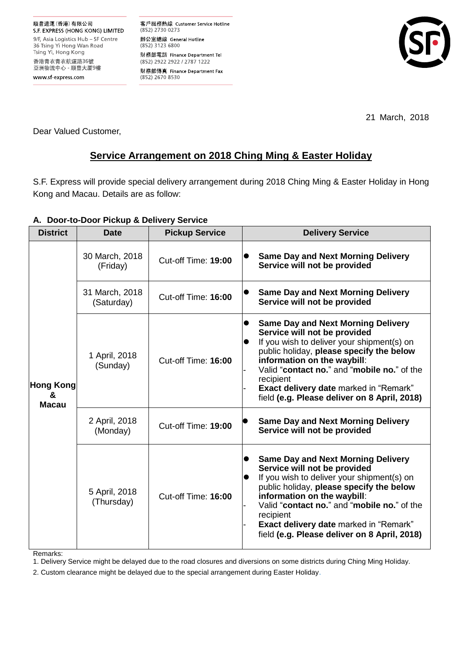客戶服務熱線 Customer Service Hotline (852) 2730 0273 辦公室總線 General Hotline (852) 3123 6800 財務部電話 Finance Department Tel (852) 2922 2922 / 2787 1222 財務部傳真 Finance Department Fax (852) 2670 8530



21 March, 2018

Dear Valued Customer,

# **Service Arrangement on 2018 Ching Ming & Easter Holiday**

S.F. Express will provide special delivery arrangement during 2018 Ching Ming & Easter Holiday in Hong Kong and Macau. Details are as follow:

# **A. Door-to-Door Pickup & Delivery Service**

| <b>District</b>                       | <b>Date</b>                  | <b>Pickup Service</b> | <b>Delivery Service</b>                                                                                                                                                                                                                                                                                                                                                      |
|---------------------------------------|------------------------------|-----------------------|------------------------------------------------------------------------------------------------------------------------------------------------------------------------------------------------------------------------------------------------------------------------------------------------------------------------------------------------------------------------------|
| <b>Hong Kong</b><br>&<br><b>Macau</b> | 30 March, 2018<br>(Friday)   | Cut-off Time: 19:00   | <b>Same Day and Next Morning Delivery</b><br>Service will not be provided                                                                                                                                                                                                                                                                                                    |
|                                       | 31 March, 2018<br>(Saturday) | Cut-off Time: 16:00   | <b>Same Day and Next Morning Delivery</b><br>$\bullet$<br>Service will not be provided                                                                                                                                                                                                                                                                                       |
|                                       | 1 April, 2018<br>(Sunday)    | Cut-off Time: 16:00   | <b>Same Day and Next Morning Delivery</b><br>$\bullet$<br>Service will not be provided<br>If you wish to deliver your shipment(s) on<br>public holiday, please specify the below<br>information on the waybill:<br>Valid "contact no." and "mobile no." of the<br>recipient<br><b>Exact delivery date marked in "Remark"</b><br>field (e.g. Please deliver on 8 April, 2018) |
|                                       | 2 April, 2018<br>(Monday)    | Cut-off Time: 19:00   | <b>Same Day and Next Morning Delivery</b><br>Service will not be provided                                                                                                                                                                                                                                                                                                    |
|                                       | 5 April, 2018<br>(Thursday)  | Cut-off Time: 16:00   | <b>Same Day and Next Morning Delivery</b><br>Service will not be provided<br>If you wish to deliver your shipment(s) on<br>public holiday, please specify the below<br>information on the waybill:<br>Valid "contact no." and "mobile no." of the<br>recipient<br><b>Exact delivery date marked in "Remark"</b><br>field (e.g. Please deliver on 8 April, 2018)              |

Remarks:

1. Delivery Service might be delayed due to the road closures and diversions on some districts during Ching Ming Holiday.

2. Custom clearance might be delayed due to the special arrangement during Easter Holiday.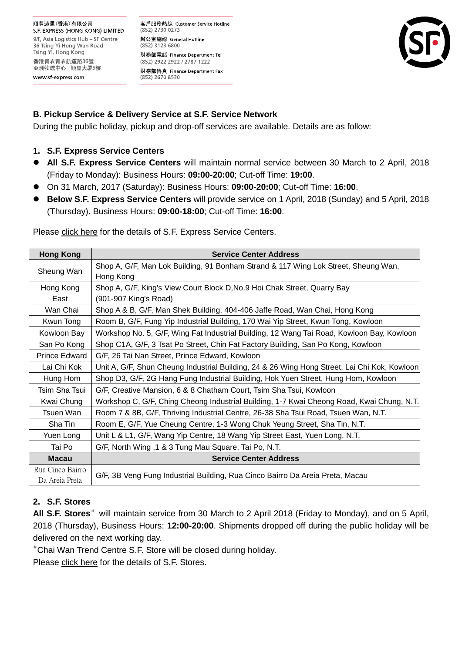#### 順豐速運(香港)有限公司

S.F. EXPRESS (HONG KONG) LIMITED 9/F, Asia Logistics Hub - SF Centre 36 Tsing Yi Hong Wan Road Tsing Yi, Hong Kong 香港青衣青衣航運路36號 亞洲物流中心 - 順豐大厦9樓 www sf-express com

客戶服務熱線 Customer Service Hotline (852) 2730 0273 辦公室總線 General Hotline (852) 3123 6800 財務部電話 Finance Department Tel (852) 2922 2922 / 2787 1222 財務部傳真 Finance Department Fax (852) 2670 8530



### **B. Pickup Service & Delivery Service at S.F. Service Network**

During the public holiday, pickup and drop-off services are available. Details are as follow:

### **1. S.F. Express Service Centers**

- **All S.F. Express Service Centers** will maintain normal service between 30 March to 2 April, 2018 (Friday to Monday): Business Hours: **09:00-20:00**; Cut-off Time: **19:00**.
- On 31 March, 2017 (Saturday): Business Hours: **09:00-20:00**; Cut-off Time: **16:00**.
- **Below S.F. Express Service Centers** will provide service on 1 April, 2018 (Sunday) and 5 April, 2018 (Thursday). Business Hours: **09:00-18:00**; Cut-off Time: **16:00**.

| <b>Hong Kong</b>                   | <b>Service Center Address</b>                                                                |  |  |  |
|------------------------------------|----------------------------------------------------------------------------------------------|--|--|--|
| Sheung Wan                         | Shop A, G/F, Man Lok Building, 91 Bonham Strand & 117 Wing Lok Street, Sheung Wan,           |  |  |  |
| Hong Kong                          |                                                                                              |  |  |  |
| Hong Kong                          | Shop A, G/F, King's View Court Block D, No.9 Hoi Chak Street, Quarry Bay                     |  |  |  |
| East                               | (901-907 King's Road)                                                                        |  |  |  |
| Wan Chai                           | Shop A & B, G/F, Man Shek Building, 404-406 Jaffe Road, Wan Chai, Hong Kong                  |  |  |  |
| Kwun Tong                          | Room B, G/F, Fung Yip Industrial Building, 170 Wai Yip Street, Kwun Tong, Kowloon            |  |  |  |
| Kowloon Bay                        | Workshop No. 5, G/F, Wing Fat Industrial Building, 12 Wang Tai Road, Kowloon Bay, Kowloon    |  |  |  |
| San Po Kong                        | Shop C1A, G/F, 3 Tsat Po Street, Chin Fat Factory Building, San Po Kong, Kowloon             |  |  |  |
| Prince Edward                      | G/F, 26 Tai Nan Street, Prince Edward, Kowloon                                               |  |  |  |
| Lai Chi Kok                        | Unit A, G/F, Shun Cheung Industrial Building, 24 & 26 Wing Hong Street, Lai Chi Kok, Kowloon |  |  |  |
| Hung Hom                           | Shop D3, G/F, 2G Hang Fung Industrial Building, Hok Yuen Street, Hung Hom, Kowloon           |  |  |  |
| Tsim Sha Tsui                      | G/F, Creative Mansion, 6 & 8 Chatham Court, Tsim Sha Tsui, Kowloon                           |  |  |  |
| Kwai Chung                         | Workshop C, G/F, Ching Cheong Industrial Building, 1-7 Kwai Cheong Road, Kwai Chung, N.T.    |  |  |  |
| Tsuen Wan                          | Room 7 & 8B, G/F, Thriving Industrial Centre, 26-38 Sha Tsui Road, Tsuen Wan, N.T.           |  |  |  |
| Sha Tin                            | Room E, G/F, Yue Cheung Centre, 1-3 Wong Chuk Yeung Street, Sha Tin, N.T.                    |  |  |  |
| Yuen Long                          | Unit L & L1, G/F, Wang Yip Centre, 18 Wang Yip Street East, Yuen Long, N.T.                  |  |  |  |
| Tai Po                             | G/F, North Wing ,1 & 3 Tung Mau Square, Tai Po, N.T.                                         |  |  |  |
| <b>Macau</b>                       | <b>Service Center Address</b>                                                                |  |  |  |
| Rua Cinco Bairro<br>Da Areia Preta | G/F, 3B Veng Fung Industrial Building, Rua Cinco Bairro Da Areia Preta, Macau                |  |  |  |

Please [click here](http://www.sf-express.com/hk/en/dynamic_function/S.F.Network/SF_service_center_address/) for the details of S.F. Express Service Centers.

# **2. S.F. Stores**

All S.F. Stores<sup>#</sup> will maintain service from 30 March to 2 April 2018 (Friday to Monday), and on 5 April, 2018 (Thursday), Business Hours: **12:00-20:00**. Shipments dropped off during the public holiday will be delivered on the next working day.

#Chai Wan Trend Centre S.F. Store will be closed during holiday.

Please [click here](http://www.sf-express.com/hk/en/dynamic_function/S.F.Network/SF_store_address/) for the details of S.F. Stores.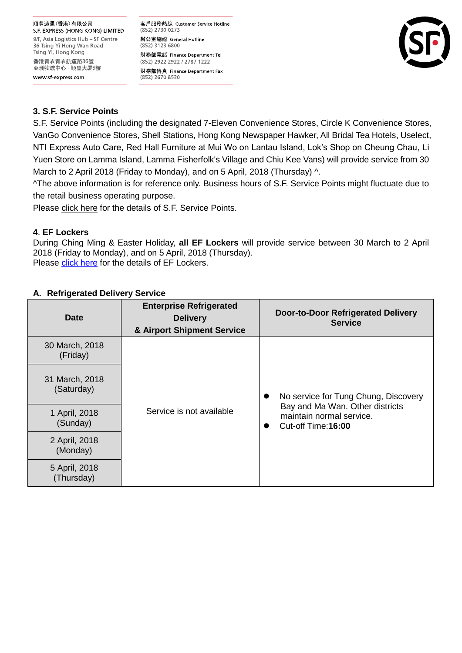## 順豐速運(香港)有限公司

S.F. EXPRESS (HONG KONG) LIMITED 9/F, Asia Logistics Hub - SF Centre 36 Tsing Yi Hong Wan Road Tsing Yi, Hong Kong 香港青衣青衣航運路36號 亞洲物流中心 - 順豐大厦9樓 www sf-express com

客戶服務熱線 Customer Service Hotline (852) 2730 0273 辦公室總線 General Hotline (852) 3123 6800 財務部電話 Finance Department Tel (852) 2922 2922 / 2787 1222 財務部傳真 Finance Department Fax (852) 2670 8530



# **3. S.F. Service Points**

S.F. Service Points (including the designated 7-Eleven Convenience Stores, Circle K Convenience Stores, VanGo Convenience Stores, Shell Stations, Hong Kong Newspaper Hawker, All Bridal Tea Hotels, Uselect, NTI Express Auto Care, Red Hall Furniture at Mui Wo on Lantau Island, Lok's Shop on Cheung Chau, Li Yuen Store on Lamma Island, Lamma Fisherfolk's Village and Chiu Kee Vans) will provide service from 30 March to 2 April 2018 (Friday to Monday), and on 5 April, 2018 (Thursday)  $\wedge$ .

^The above information is for reference only. Business hours of S.F. Service Points might fluctuate due to the retail business operating purpose.

Please [click here](http://www.sf-express.com/hk/en/dynamic_function/S.F.Network/S.F.-Service-Points/) for the details of S.F. Service Points.

## **4**. **EF Lockers**

During Ching Ming & Easter Holiday, **all EF Lockers** will provide service between 30 March to 2 April 2018 (Friday to Monday), and on 5 April, 2018 (Thursday). Please [click here](http://www.sf-express.com/hk/en/dynamic_function/S.F.Network/EF-Locker/) for the details of EF Lockers.

| Date                         | <b>Enterprise Refrigerated</b><br><b>Delivery</b><br>& Airport Shipment Service | <b>Door-to-Door Refrigerated Delivery</b><br><b>Service</b>                                                                                          |
|------------------------------|---------------------------------------------------------------------------------|------------------------------------------------------------------------------------------------------------------------------------------------------|
| 30 March, 2018<br>(Friday)   |                                                                                 |                                                                                                                                                      |
| 31 March, 2018<br>(Saturday) | Service is not available                                                        | No service for Tung Chung, Discovery<br>$\bullet$<br>Bay and Ma Wan. Other districts<br>maintain normal service.<br>Cut-off Time: 16:00<br>$\bullet$ |
| 1 April, 2018<br>(Sunday)    |                                                                                 |                                                                                                                                                      |
| 2 April, 2018<br>(Monday)    |                                                                                 |                                                                                                                                                      |
| 5 April, 2018<br>(Thursday)  |                                                                                 |                                                                                                                                                      |

# **A. Refrigerated Delivery Service**